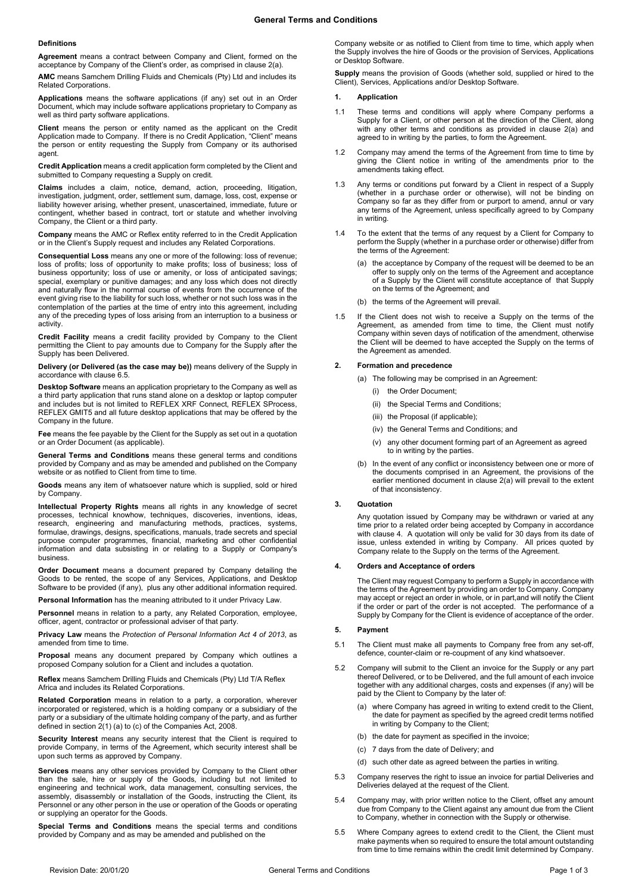### **Definitions**

**Agreement** means a contract between Company and Client, formed on the acceptance by Company of the Client's order, as comprised in claus[e 2\(a\).](#page-0-0)

**AMC** means Samchem Drilling Fluids and Chemicals (Pty) Ltd and includes its Related Corporations.

**Applications** means the software applications (if any) set out in an Order Document, which may include software applications proprietary to Company as well as third party software applications.

**Client** means the person or entity named as the applicant on the Credit Application made to Company. If there is no Credit Application, "Client" means the person or entity requesting the Supply from Company or its authorised agent.

**Credit Application** means a credit application form completed by the Client and submitted to Company requesting a Supply on credit.

**Claims** includes a claim, notice, demand, action, proceeding, litigation, investigation, judgment, order, settlement sum, damage, loss, cost, expense or liability however arising, whether present, unascertained, immediate, future or contingent, whether based in contract, tort or statute and whether involving Company, the Client or a third party.

**Company** means the AMC or Reflex entity referred to in the Credit Application or in the Client's Supply request and includes any Related Corporations.

**Consequential Loss** means any one or more of the following: loss of revenue; loss of profits; loss of opportunity to make profits; loss of business; loss of business opportunity; loss of use or amenity, or loss of anticipated savings; special, exemplary or punitive damages; and any loss which does not directly and naturally flow in the normal course of events from the occurrence of the event giving rise to the liability for such loss, whether or not such loss was in the contemplation of the parties at the time of entry into this agreement, including any of the preceding types of loss arising from an interruption to a business or activity.

**Credit Facility** means a credit facility provided by Company to the Client permitting the Client to pay amounts due to Company for the Supply after the Supply has been Delivered.

**Delivery (or Delivered (as the case may be))** means delivery of the Supply in accordance with claus[e 6.5.](#page-1-0)

**Desktop Software** means an application proprietary to the Company as well as a third party application that runs stand alone on a desktop or laptop computer and includes but is not limited to REFLEX XRF Connect, REFLEX SProces REFLEX GMIT5 and all future desktop applications that may be offered by the Company in the future.

**Fee** means the fee payable by the Client for the Supply as set out in a quotation or an Order Document (as applicable).

**General Terms and Conditions** means these general terms and conditions provided by Company and as may be amended and published on the Company website or as notified to Client from time to time.

**Goods** means any item of whatsoever nature which is supplied, sold or hired by Company.

**Intellectual Property Rights** means all rights in any knowledge of secret processes, technical knowhow, techniques, discoveries, inventions, ideas, research, engineering and manufacturing methods, practices, systems, formulae, drawings, designs, specifications, manuals, trade secrets and special purpose computer programmes, financial, marketing and other confidential information and data subsisting in or relating to a Supply or Company's business.

**Order Document** means a document prepared by Company detailing the Goods to be rented, the scope of any Services, Applications, and Desktop Software to be provided (if any), plus any other additional information required.

**Personal Information** has the meaning attributed to it under Privacy Law.

**Personnel** means in relation to a party, any Related Corporation, employee, officer, agent, contractor or professional adviser of that party.

**Privacy Law** means the *Protection of Personal Information Act 4 of 2013*, as amended from time to time.

**Proposal** means any document prepared by Company which outlines a proposed Company solution for a Client and includes a quotation.

**Reflex** means Samchem Drilling Fluids and Chemicals (Pty) Ltd T/A Reflex Africa and includes its Related Corporations.

**Related Corporation** means in relation to a party, a corporation, wherever incorporated or registered, which is a holding company or a subsidiary of the party or a subsidiary of the ultimate holding company of the party, and as further defined in section 2(1) (a) to (c) of the Companies Act, 2008.

**Security Interest** means any security interest that the Client is required to provide Company, in terms of the Agreement, which security interest shall be upon such terms as approved by Company.

**Services** means any other services provided by Company to the Client other than the sale, hire or supply of the Goods, including but not limited to engineering and technical work, data management, consulting services, the assembly, disassembly or installation of the Goods, instructing the Client, its Personnel or any other person in the use or operation of the Goods or operating or supplying an operator for the Goods.

**Special Terms and Conditions** means the special terms and conditions provided by Company and as may be amended and published on the

Company website or as notified to Client from time to time, which apply when the Supply involves the hire of Goods or the provision of Services, Applications or Desktop Software.

**Supply** means the provision of Goods (whether sold, supplied or hired to the Client), Services, Applications and/or Desktop Software.

### **1. Application**

- 1.1 These terms and conditions will apply where Company performs a Supply for a Client, or other person at the direction of the Client, along with any other terms and conditions as provided in clause 2(a) and agreed to in writing by the parties, to form the Agreement.
- 1.2 Company may amend the terms of the Agreement from time to time by giving the Client notice in writing of the amendments prior to the amendments taking effect.
- 1.3 Any terms or conditions put forward by a Client in respect of a Supply (whether in a purchase order or otherwise), will not be binding on Company so far as they differ from or purport to amend, annul or vary any terms of the Agreement, unless specifically agreed to by Company in writing.
- 1.4 To the extent that the terms of any request by a Client for Company to perform the Supply (whether in a purchase order or otherwise) differ from the terms of the Agreement:
	- (a) the acceptance by Company of the request will be deemed to be an offer to supply only on the terms of the Agreement and acceptance of a Supply by the Client will constitute acceptance of that Supply on the terms of the Agreement; and
	- (b) the terms of the Agreement will prevail.
- 1.5 If the Client does not wish to receive a Supply on the terms of the Agreement, as amended from time to time, the Client must notify Company within seven days of notification of the amendment, otherwise the Client will be deemed to have accepted the Supply on the terms of the Agreement as amended.

# <span id="page-0-0"></span>**2. Formation and precedence**

(a) The following may be comprised in an Agreement:

- (i) the Order Document;
- (ii) the Special Terms and Conditions;
- (iii) the Proposal (if applicable);
- (iv) the General Terms and Conditions; and
- (v) any other document forming part of an Agreement as agreed to in writing by the parties.
- (b) In the event of any conflict or inconsistency between one or more of the documents comprised in an Agreement, the provisions of the earlier mentioned document in clause [2\(a\)](#page-0-0) will prevail to the extent of that inconsistency.

### **3. Quotation**

Any quotation issued by Company may be withdrawn or varied at any time prior to a related order being accepted by Company in accordance with claus[e 4.](#page-0-1) A quotation will only be valid for 30 days from its date of issue, unless extended in writing by Company. All prices quoted by Company relate to the Supply on the terms of the Agreement.

### <span id="page-0-1"></span>**4. Orders and Acceptance of orders**

The Client may request Company to perform a Supply in accordance with the terms of the Agreement by providing an order to Company. Company may accept or reject an order in whole, or in part,and will notify the Client if the order or part of the order is not accepted. The performance of a Supply by Company for the Client is evidence of acceptance of the order.

### **5. Payment**

- 5.1 The Client must make all payments to Company free from any set-off, defence, counter-claim or re-coupment of any kind whatsoever.
- 5.2 Company will submit to the Client an invoice for the Supply or any part thereof Delivered, or to be Delivered, and the full amount of each invoice together with any additional charges, costs and expenses (if any) will be paid by the Client to Company by the later of:
	- (a) where Company has agreed in writing to extend credit to the Client, the date for payment as specified by the agreed credit terms notified in writing by Company to the Client;
	- (b) the date for payment as specified in the invoice;
	- (c) 7 days from the date of Delivery; and
	- (d) such other date as agreed between the parties in writing.
- 5.3 Company reserves the right to issue an invoice for partial Deliveries and Deliveries delayed at the request of the Client.
- 5.4 Company may, with prior written notice to the Client, offset any amount due from Company to the Client against any amount due from the Client to Company, whether in connection with the Supply or otherwise.
- 5.5 Where Company agrees to extend credit to the Client, the Client must make payments when so required to ensure the total amount outstanding from time to time remains within the credit limit determined by Company.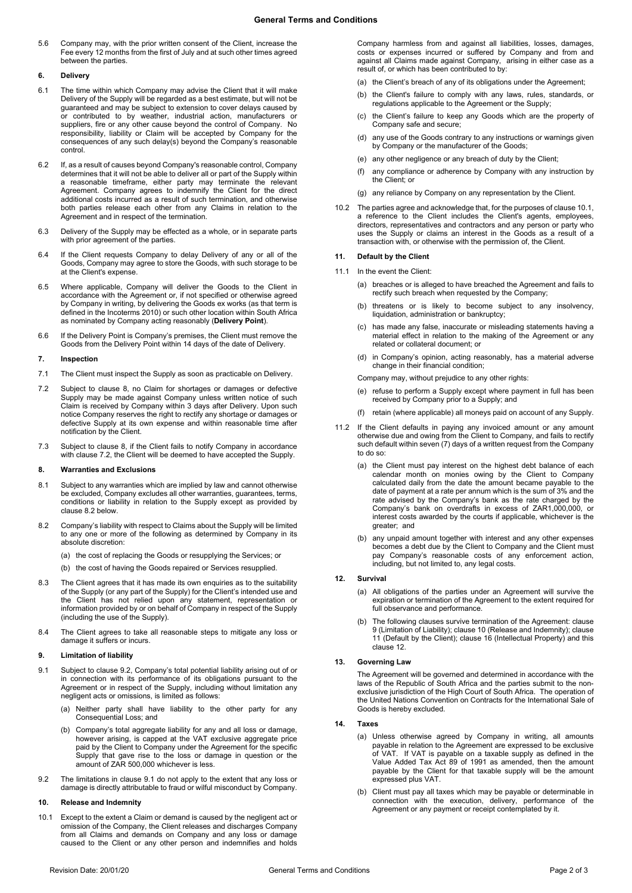# **General Terms and Conditions**

5.6 Company may, with the prior written consent of the Client, increase the Fee every 12 months from the first of July and at such other times agreed between the parties.

# **6. Delivery**

- 6.1 The time within which Company may advise the Client that it will make Delivery of the Supply will be regarded as a best estimate, but will not be guaranteed and may be subject to extension to cover delays caused by or contributed to by weather, industrial action, manufacturers or suppliers, fire or any other cause beyond the control of Company. No responsibility, liability or Claim will be accepted by Company for the consequences of any such delay(s) beyond the Company's reasonable control.
- 6.2 If, as a result of causes beyond Company's reasonable control, Company determines that it will not be able to deliver all or part of the Supply within a reasonable timeframe, either party may terminate the relevant Agreement. Company agrees to indemnify the Client for the direct additional costs incurred as a result of such termination, and otherwise both parties release each other from any Claims in relation to the Agreement and in respect of the termination.
- 6.3 Delivery of the Supply may be effected as a whole, or in separate parts with prior agreement of the parties
- 6.4 If the Client requests Company to delay Delivery of any or all of the Goods, Company may agree to store the Goods, with such storage to be at the Client's expense.
- <span id="page-1-0"></span>6.5 Where applicable, Company will deliver the Goods to the Client in accordance with the Agreement or, if not specified or otherwise agreed by Company in writing, by delivering the Goods ex works (as that term is defined in the Incoterms 2010) or such other location within South Africa as nominated by Company acting reasonably (**Delivery Point**).
- 6.6 If the Delivery Point is Company's premises, the Client must remove the Goods from the Delivery Point within 14 days of the date of Delivery.

### **7. Inspection**

- 7.1 The Client must inspect the Supply as soon as practicable on Delivery.
- <span id="page-1-2"></span>7.2 Subject to clause [8,](#page-1-1) no Claim for shortages or damages or defective Supply may be made against Company unless written notice of such Claim is received by Company within 3 days after Delivery. Upon such notice Company reserves the right to rectify any shortage or damages or defective Supply at its own expense and within reasonable time after notification by the Client.
- 7.3 Subject to clause [8,](#page-1-1) if the Client fails to notify Company in accordance with claus[e 7.2,](#page-1-2) the Client will be deemed to have accepted the Supply.

#### <span id="page-1-1"></span>**8. Warranties and Exclusions**

- 8.1 Subject to any warranties which are implied by law and cannot otherwise be excluded, Company excludes all other warranties, guarantees, terms, conditions or liability in relation to the Supply except as provided by clause 8.2 below.
- 8.2 Company's liability with respect to Claims about the Supply will be limited to any one or more of the following as determined by Company in its absolute discretion:
	- (a) the cost of replacing the Goods or resupplying the Services; or
	- (b) the cost of having the Goods repaired or Services resupplied.
- 8.3 The Client agrees that it has made its own enquiries as to the suitability of the Supply (or any part of the Supply) for the Client's intended use and the Client has not relied upon any statement, representation or information provided by or on behalf of Company in respect of the Supply (including the use of the Supply).
- 8.4 The Client agrees to take all reasonable steps to mitigate any loss or damage it suffers or incurs.

# <span id="page-1-6"></span>**9. Limitation of liability**

- <span id="page-1-4"></span>9.1 Subject to claus[e 9.2,](#page-1-3) Company's total potential liability arising out of or in connection with its performance of its obligations pursuant to the Agreement or in respect of the Supply, including without limitation any negligent acts or omissions, is limited as follows:
	- (a) Neither party shall have liability to the other party for any Consequential Loss; and
	- (b) Company's total aggregate liability for any and all loss or damage, however arising, is capped at the VAT exclusive aggregate price paid by the Client to Company under the Agreement for the specific Supply that gave rise to the loss or damage in question or the amount of ZAR 500,000 whichever is less.
- <span id="page-1-3"></span>9.2 The limitations in claus[e 9.1](#page-1-4) do not apply to the extent that any loss or damage is directly attributable to fraud or wilful misconduct by Company.

### <span id="page-1-7"></span>**10. Release and Indemnity**

<span id="page-1-5"></span>10.1 Except to the extent a Claim or demand is caused by the negligent act or omission of the Company, the Client releases and discharges Company from all Claims and demands on Company and any loss or damage caused to the Client or any other person and indemnifies and holds

Company harmless from and against all liabilities, losses, damages, costs or expenses incurred or suffered by Company and from and against all Claims made against Company, arising in either case as a result of, or which has been contributed to by:

- (a) the Client's breach of any of its obligations under the Agreement;
- (b) the Client's failure to comply with any laws, rules, standards, or regulations applicable to the Agreement or the Supply;
- (c) the Client's failure to keep any Goods which are the property of Company safe and secure;
- (d) any use of the Goods contrary to any instructions or warnings given by Company or the manufacturer of the Goods;
- (e) any other negligence or any breach of duty by the Client;
- (f) any compliance or adherence by Company with any instruction by the Client; or
- (g) any reliance by Company on any representation by the Client.
- 10.2 The parties agree and acknowledge that, for the purposes of claus[e 10.1,](#page-1-5)  a reference to the Client includes the Client's agents, employees, directors, representatives and contractors and any person or party who uses the Supply or claims an interest in the Goods as a result of a transaction with, or otherwise with the permission of, the Client.

# <span id="page-1-8"></span>**11. Default by the Client**

- 11.1 In the event the Client:
	- (a) breaches or is alleged to have breached the Agreement and fails to rectify such breach when requested by the Company;
	- threatens or is likely to become subject to any insolvency, liquidation, administration or bankruptcy;
	- (c) has made any false, inaccurate or misleading statements having a material effect in relation to the making of the Agreement or any related or collateral document; or
	- (d) in Company's opinion, acting reasonably, has a material adverse change in their financial condition;

Company may, without prejudice to any other rights:

- (e) refuse to perform a Supply except where payment in full has been received by Company prior to a Supply; and
- (f) retain (where applicable) all moneys paid on account of any Supply.
- 11.2 If the Client defaults in paying any invoiced amount or any amount otherwise due and owing from the Client to Company, and fails to rectify such default within seven (7) days of a written request from the Company to do so:
	- (a) the Client must pay interest on the highest debt balance of each calendar month on monies owing by the Client to Company calculated daily from the date the amount became payable to the date of payment at a rate per annum which is the sum of 3% and the rate advised by the Company's bank as the rate charged by the Company's bank on overdrafts in excess of ZAR1,000,000, or interest costs awarded by the courts if applicable, whichever is the greater; and
	- (b) any unpaid amount together with interest and any other expenses becomes a debt due by the Client to Company and the Client must pay Company's reasonable costs of any enforcement action, including, but not limited to, any legal costs.

### <span id="page-1-9"></span>**12. Survival**

- (a) All obligations of the parties under an Agreement will survive the expiration or termination of the Agreement to the extent required for full observance and performance.
- The following clauses survive termination of the Agreement: clause [9](#page-1-6) (Limitation of Liability); clause [10](#page-1-7) (Release and Indemnity); clause [11](#page-1-8) (Default by the Client); clause 16 (Intellectual Property) and this claus[e 12.](#page-1-9)

### **13. Governing Law**

The Agreement will be governed and determined in accordance with the laws of the Republic of South Africa and the parties submit to the nonexclusive jurisdiction of the High Court of South Africa. The operation of the United Nations Convention on Contracts for the International Sale of Goods is hereby excluded.

# **14. Taxes**

- (a) Unless otherwise agreed by Company in writing, all amounts payable in relation to the Agreement are expressed to be exclusive of VAT. If VAT is payable on a taxable supply as defined in the Value Added Tax Act 89 of 1991 as amended, then the amount payable by the Client for that taxable supply will be the amount expressed plus VAT.
- (b) Client must pay all taxes which may be payable or determinable in connection with the execution, delivery, performance of the Agreement or any payment or receipt contemplated by it.